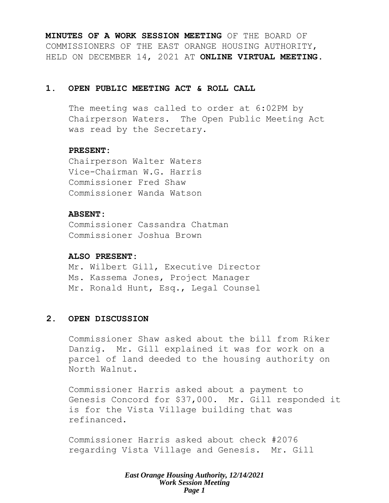**MINUTES OF A WORK SESSION MEETING** OF THE BOARD OF COMMISSIONERS OF THE EAST ORANGE HOUSING AUTHORITY, HELD ON DECEMBER 14, 2021 AT **ONLINE VIRTUAL MEETING**.

### **1. OPEN PUBLIC MEETING ACT & ROLL CALL**

The meeting was called to order at 6:02PM by Chairperson Waters. The Open Public Meeting Act was read by the Secretary.

### **PRESENT:**

Chairperson Walter Waters Vice-Chairman W.G. Harris Commissioner Fred Shaw Commissioner Wanda Watson

## **ABSENT:**

Commissioner Cassandra Chatman Commissioner Joshua Brown

### **ALSO PRESENT:**

Mr. Wilbert Gill, Executive Director Ms. Kassema Jones, Project Manager Mr. Ronald Hunt, Esq., Legal Counsel

## **2. OPEN DISCUSSION**

Commissioner Shaw asked about the bill from Riker Danzig. Mr. Gill explained it was for work on a parcel of land deeded to the housing authority on North Walnut.

Commissioner Harris asked about a payment to Genesis Concord for \$37,000. Mr. Gill responded it is for the Vista Village building that was refinanced.

Commissioner Harris asked about check #2076 regarding Vista Village and Genesis. Mr. Gill

> *East Orange Housing Authority, 12/14/2021 Work Session Meeting Page 1*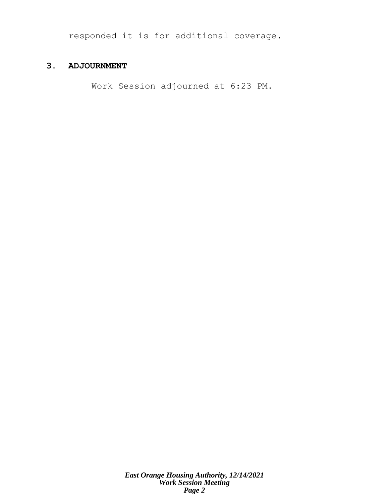responded it is for additional coverage.

## **3. ADJOURNMENT**

Work Session adjourned at 6:23 PM.

*East Orange Housing Authority, 12/14/2021 Work Session Meeting Page 2*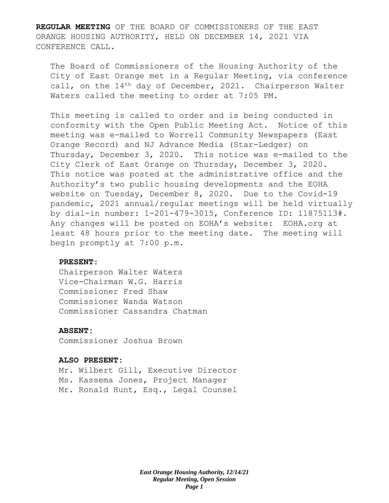**REGULAR MEETING** OF THE BOARD OF COMMISSIONERS OF THE EAST ORANGE HOUSING AUTHORITY, HELD ON DECEMBER 14, 2021 VIA CONFERENCE CALL.

The Board of Commissioners of the Housing Authority of the City of East Orange met in a Regular Meeting, via conference call, on the 14<sup>th</sup> day of December, 2021. Chairperson Walter Waters called the meeting to order at 7:05 PM.

This meeting is called to order and is being conducted in conformity with the Open Public Meeting Act. Notice of this meeting was e-mailed to Worrell Community Newspapers (East Orange Record) and NJ Advance Media (Star-Ledger) on Thursday, December 3, 2020. This notice was e-mailed to the City Clerk of East Orange on Thursday, December 3, 2020. This notice was posted at the administrative office and the Authority's two public housing developments and the EOHA website on Tuesday, December 8, 2020. Due to the Covid-19 pandemic, 2021 annual/regular meetings will be held virtually by dial-in number: 1-201-479-3015, Conference ID: 11875113#. Any changes will be posted on EOHA's website: EOHA.org at least 48 hours prior to the meeting date. The meeting will begin promptly at 7:00 p.m.

#### **PRESENT:**

Chairperson Walter Waters Vice-Chairman W.G. Harris Commissioner Fred Shaw Commissioner Wanda Watson Commissioner Cassandra Chatman

#### **ABSENT:**

Commissioner Joshua Brown

#### **ALSO PRESENT:**

Mr. Wilbert Gill, Executive Director Ms. Kassema Jones, Project Manager Mr. Ronald Hunt, Esq., Legal Counsel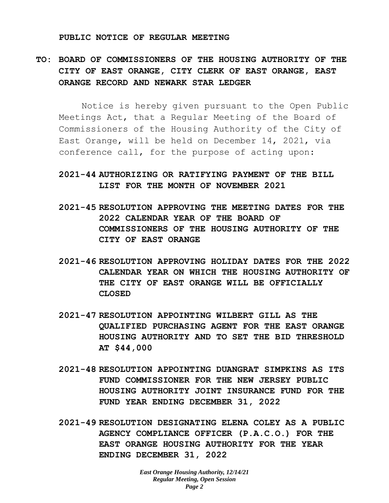#### **PUBLIC NOTICE OF REGULAR MEETING**

# **TO: BOARD OF COMMISSIONERS OF THE HOUSING AUTHORITY OF THE CITY OF EAST ORANGE, CITY CLERK OF EAST ORANGE, EAST ORANGE RECORD AND NEWARK STAR LEDGER**

Notice is hereby given pursuant to the Open Public Meetings Act, that a Regular Meeting of the Board of Commissioners of the Housing Authority of the City of East Orange, will be held on December 14, 2021, via conference call, for the purpose of acting upon:

## **2021-44 AUTHORIZING OR RATIFYING PAYMENT OF THE BILL LIST FOR THE MONTH OF NOVEMBER 2021**

- **2021-45 RESOLUTION APPROVING THE MEETING DATES FOR THE 2022 CALENDAR YEAR OF THE BOARD OF COMMISSIONERS OF THE HOUSING AUTHORITY OF THE CITY OF EAST ORANGE**
- **2021-46 RESOLUTION APPROVING HOLIDAY DATES FOR THE 2022 CALENDAR YEAR ON WHICH THE HOUSING AUTHORITY OF THE CITY OF EAST ORANGE WILL BE OFFICIALLY CLOSED**
- **2021-47 RESOLUTION APPOINTING WILBERT GILL AS THE QUALIFIED PURCHASING AGENT FOR THE EAST ORANGE HOUSING AUTHORITY AND TO SET THE BID THRESHOLD AT \$44,000**
- **2021-48 RESOLUTION APPOINTING DUANGRAT SIMPKINS AS ITS FUND COMMISSIONER FOR THE NEW JERSEY PUBLIC HOUSING AUTHORITY JOINT INSURANCE FUND FOR THE FUND YEAR ENDING DECEMBER 31, 2022**
- **2021-49 RESOLUTION DESIGNATING ELENA COLEY AS A PUBLIC AGENCY COMPLIANCE OFFICER (P.A.C.O.) FOR THE EAST ORANGE HOUSING AUTHORITY FOR THE YEAR ENDING DECEMBER 31, 2022**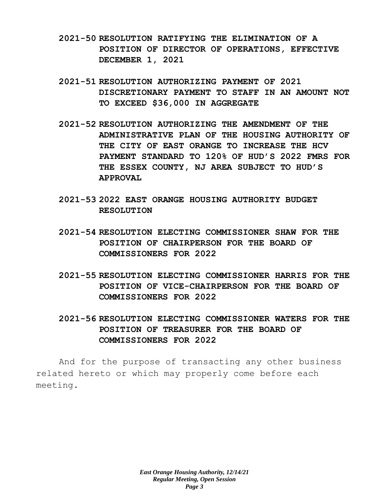- **2021-50 RESOLUTION RATIFYING THE ELIMINATION OF A POSITION OF DIRECTOR OF OPERATIONS, EFFECTIVE DECEMBER 1, 2021**
- **2021-51 RESOLUTION AUTHORIZING PAYMENT OF 2021 DISCRETIONARY PAYMENT TO STAFF IN AN AMOUNT NOT TO EXCEED \$36,000 IN AGGREGATE**
- **2021-52 RESOLUTION AUTHORIZING THE AMENDMENT OF THE ADMINISTRATIVE PLAN OF THE HOUSING AUTHORITY OF THE CITY OF EAST ORANGE TO INCREASE THE HCV PAYMENT STANDARD TO 120% OF HUD'S 2022 FMRS FOR THE ESSEX COUNTY, NJ AREA SUBJECT TO HUD'S APPROVAL**
- **2021-53 2022 EAST ORANGE HOUSING AUTHORITY BUDGET RESOLUTION**
- **2021-54 RESOLUTION ELECTING COMMISSIONER SHAW FOR THE POSITION OF CHAIRPERSON FOR THE BOARD OF COMMISSIONERS FOR 2022**
- **2021-55 RESOLUTION ELECTING COMMISSIONER HARRIS FOR THE POSITION OF VICE-CHAIRPERSON FOR THE BOARD OF COMMISSIONERS FOR 2022**
- **2021-56 RESOLUTION ELECTING COMMISSIONER WATERS FOR THE POSITION OF TREASURER FOR THE BOARD OF COMMISSIONERS FOR 2022**

And for the purpose of transacting any other business related hereto or which may properly come before each meeting.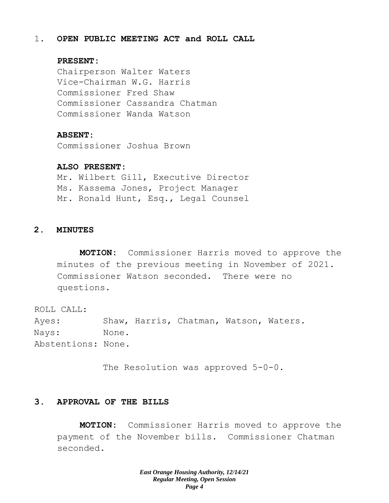### 1. **OPEN PUBLIC MEETING ACT and ROLL CALL**

#### **PRESENT:**

Chairperson Walter Waters Vice-Chairman W.G. Harris Commissioner Fred Shaw Commissioner Cassandra Chatman Commissioner Wanda Watson

### **ABSENT:**

Commissioner Joshua Brown

### **ALSO PRESENT:**

Mr. Wilbert Gill, Executive Director Ms. Kassema Jones, Project Manager Mr. Ronald Hunt, Esq., Legal Counsel

## **2. MINUTES**

**MOTION:** Commissioner Harris moved to approve the minutes of the previous meeting in November of 2021. Commissioner Watson seconded. There were no questions.

ROLL CALL: Ayes: Shaw, Harris, Chatman, Watson, Waters. Nays: None. Abstentions: None.

The Resolution was approved 5-0-0.

## **3. APPROVAL OF THE BILLS**

**MOTION:** Commissioner Harris moved to approve the payment of the November bills. Commissioner Chatman seconded.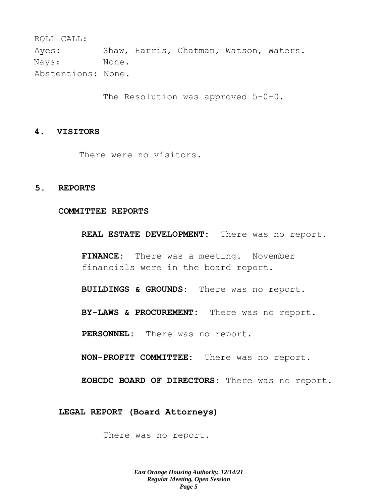ROLL CALL: Ayes: Shaw, Harris, Chatman, Watson, Waters. Nays: None. Abstentions: None.

The Resolution was approved 5-0-0.

#### **4. VISITORS**

There were no visitors.

### **5. REPORTS**

#### **COMMITTEE REPORTS**

**REAL ESTATE DEVELOPMENT:** There was no report.

**FINANCE:** There was a meeting. November financials were in the board report.

**BUILDINGS & GROUNDS:** There was no report.

**BY-LAWS & PROCUREMENT:** There was no report.

**PERSONNEL:** There was no report.

**NON-PROFIT COMMITTEE:** There was no report.

**EOHCDC BOARD OF DIRECTORS**: There was no report.

**LEGAL REPORT (Board Attorneys)**

There was no report.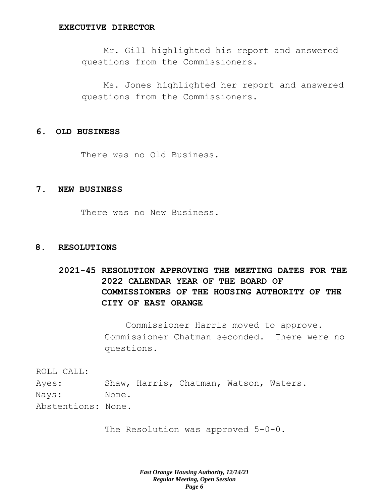#### **EXECUTIVE DIRECTOR**

Mr. Gill highlighted his report and answered questions from the Commissioners.

Ms. Jones highlighted her report and answered questions from the Commissioners.

#### **6. OLD BUSINESS**

There was no Old Business.

## **7. NEW BUSINESS**

There was no New Business.

#### **8. RESOLUTIONS**

# **2021-45 RESOLUTION APPROVING THE MEETING DATES FOR THE 2022 CALENDAR YEAR OF THE BOARD OF COMMISSIONERS OF THE HOUSING AUTHORITY OF THE CITY OF EAST ORANGE**

Commissioner Harris moved to approve. Commissioner Chatman seconded. There were no questions.

ROLL CALL: Ayes: Shaw, Harris, Chatman, Watson, Waters. Nays: None. Abstentions: None.

The Resolution was approved 5-0-0.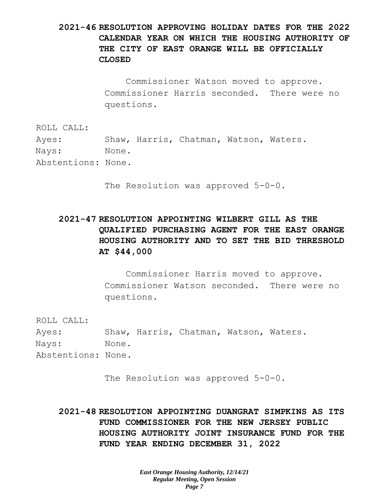## **2021-46 RESOLUTION APPROVING HOLIDAY DATES FOR THE 2022 CALENDAR YEAR ON WHICH THE HOUSING AUTHORITY OF THE CITY OF EAST ORANGE WILL BE OFFICIALLY CLOSED**

Commissioner Watson moved to approve. Commissioner Harris seconded. There were no questions.

ROLL CALL:

Ayes: Shaw, Harris, Chatman, Watson, Waters. Nays: None. Abstentions: None.

The Resolution was approved 5-0-0.

# **2021-47 RESOLUTION APPOINTING WILBERT GILL AS THE QUALIFIED PURCHASING AGENT FOR THE EAST ORANGE HOUSING AUTHORITY AND TO SET THE BID THRESHOLD AT \$44,000**

Commissioner Harris moved to approve. Commissioner Watson seconded. There were no questions.

ROLL CALL:

Ayes: Shaw, Harris, Chatman, Watson, Waters. Nays: None. Abstentions: None.

The Resolution was approved 5-0-0.

**2021-48 RESOLUTION APPOINTING DUANGRAT SIMPKINS AS ITS FUND COMMISSIONER FOR THE NEW JERSEY PUBLIC HOUSING AUTHORITY JOINT INSURANCE FUND FOR THE FUND YEAR ENDING DECEMBER 31, 2022**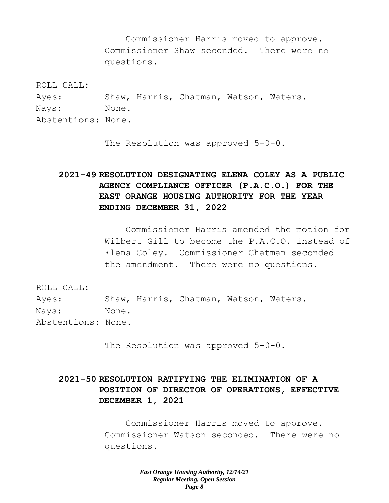Commissioner Harris moved to approve. Commissioner Shaw seconded. There were no questions.

ROLL CALL:

Ayes: Shaw, Harris, Chatman, Watson, Waters. Nays: None. Abstentions: None.

The Resolution was approved 5-0-0.

# **2021-49 RESOLUTION DESIGNATING ELENA COLEY AS A PUBLIC AGENCY COMPLIANCE OFFICER (P.A.C.O.) FOR THE EAST ORANGE HOUSING AUTHORITY FOR THE YEAR ENDING DECEMBER 31, 2022**

Commissioner Harris amended the motion for Wilbert Gill to become the P.A.C.O. instead of Elena Coley. Commissioner Chatman seconded the amendment. There were no questions.

ROLL CALL:

Ayes: Shaw, Harris, Chatman, Watson, Waters. Nays: None. Abstentions: None.

The Resolution was approved 5-0-0.

## **2021-50 RESOLUTION RATIFYING THE ELIMINATION OF A POSITION OF DIRECTOR OF OPERATIONS, EFFECTIVE DECEMBER 1, 2021**

Commissioner Harris moved to approve. Commissioner Watson seconded. There were no questions.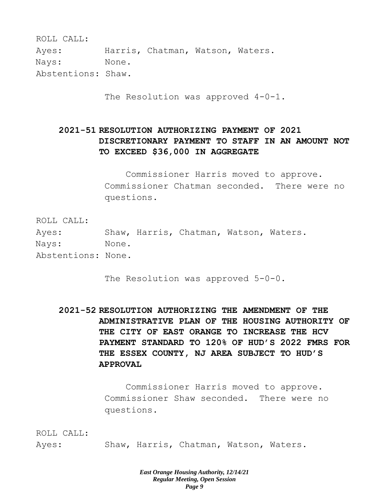| ROLL CALL:         |       |                                  |  |
|--------------------|-------|----------------------------------|--|
| Ayes:              |       | Harris, Chatman, Watson, Waters. |  |
| Nays:              | None. |                                  |  |
| Abstentions: Shaw. |       |                                  |  |

The Resolution was approved 4-0-1.

# **2021-51 RESOLUTION AUTHORIZING PAYMENT OF 2021 DISCRETIONARY PAYMENT TO STAFF IN AN AMOUNT NOT TO EXCEED \$36,000 IN AGGREGATE**

Commissioner Harris moved to approve. Commissioner Chatman seconded. There were no questions.

ROLL CALL:

Ayes: Shaw, Harris, Chatman, Watson, Waters. Nays: None. Abstentions: None.

The Resolution was approved  $5-0-0$ .

**2021-52 RESOLUTION AUTHORIZING THE AMENDMENT OF THE ADMINISTRATIVE PLAN OF THE HOUSING AUTHORITY OF THE CITY OF EAST ORANGE TO INCREASE THE HCV PAYMENT STANDARD TO 120% OF HUD'S 2022 FMRS FOR THE ESSEX COUNTY, NJ AREA SUBJECT TO HUD'S APPROVAL**

> Commissioner Harris moved to approve. Commissioner Shaw seconded. There were no questions.

ROLL CALL: Ayes: Shaw, Harris, Chatman, Watson, Waters.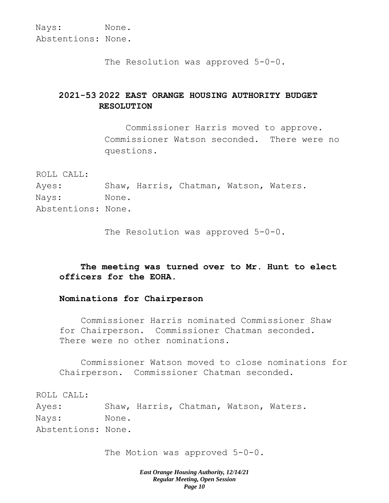The Resolution was approved 5-0-0.

## **2021-53 2022 EAST ORANGE HOUSING AUTHORITY BUDGET RESOLUTION**

Commissioner Harris moved to approve. Commissioner Watson seconded. There were no questions.

ROLL CALL:

Ayes: Shaw, Harris, Chatman, Watson, Waters. Nays: None. Abstentions: None.

The Resolution was approved 5-0-0.

## **The meeting was turned over to Mr. Hunt to elect officers for the EOHA.**

### **Nominations for Chairperson**

Commissioner Harris nominated Commissioner Shaw for Chairperson. Commissioner Chatman seconded. There were no other nominations.

Commissioner Watson moved to close nominations for Chairperson. Commissioner Chatman seconded.

ROLL CALL:

Ayes: Shaw, Harris, Chatman, Watson, Waters. Nays: None. Abstentions: None.

The Motion was approved  $5-0-0$ .

*East Orange Housing Authority, 12/14/21 Regular Meeting, Open Session Page 10*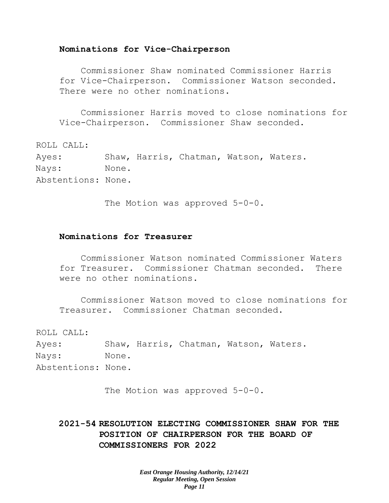#### **Nominations for Vice-Chairperson**

Commissioner Shaw nominated Commissioner Harris for Vice-Chairperson. Commissioner Watson seconded. There were no other nominations.

Commissioner Harris moved to close nominations for Vice-Chairperson. Commissioner Shaw seconded.

ROLL CALL:

Ayes: Shaw, Harris, Chatman, Watson, Waters. Nays: None. Abstentions: None.

The Motion was approved 5-0-0.

#### **Nominations for Treasurer**

Commissioner Watson nominated Commissioner Waters for Treasurer. Commissioner Chatman seconded. There were no other nominations.

Commissioner Watson moved to close nominations for Treasurer. Commissioner Chatman seconded.

ROLL CALL:

Ayes: Shaw, Harris, Chatman, Watson, Waters. Nays: None. Abstentions: None.

The Motion was approved 5-0-0.

**2021-54 RESOLUTION ELECTING COMMISSIONER SHAW FOR THE POSITION OF CHAIRPERSON FOR THE BOARD OF COMMISSIONERS FOR 2022**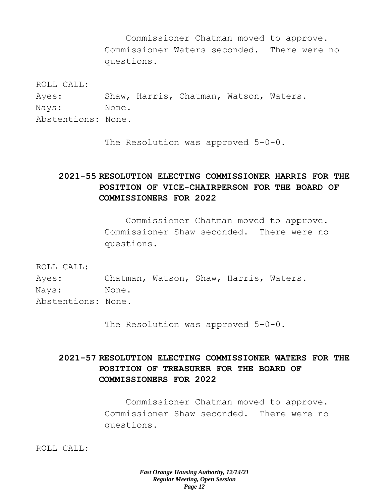Commissioner Chatman moved to approve. Commissioner Waters seconded. There were no questions.

ROLL CALL:

Ayes: Shaw, Harris, Chatman, Watson, Waters. Nays: None. Abstentions: None.

The Resolution was approved 5-0-0.

# **2021-55 RESOLUTION ELECTING COMMISSIONER HARRIS FOR THE POSITION OF VICE-CHAIRPERSON FOR THE BOARD OF COMMISSIONERS FOR 2022**

Commissioner Chatman moved to approve. Commissioner Shaw seconded. There were no questions.

ROLL CALL:

Ayes: Chatman, Watson, Shaw, Harris, Waters. Nays: None. Abstentions: None.

The Resolution was approved 5-0-0.

# **2021-57 RESOLUTION ELECTING COMMISSIONER WATERS FOR THE POSITION OF TREASURER FOR THE BOARD OF COMMISSIONERS FOR 2022**

Commissioner Chatman moved to approve. Commissioner Shaw seconded. There were no questions.

ROLL CALL: